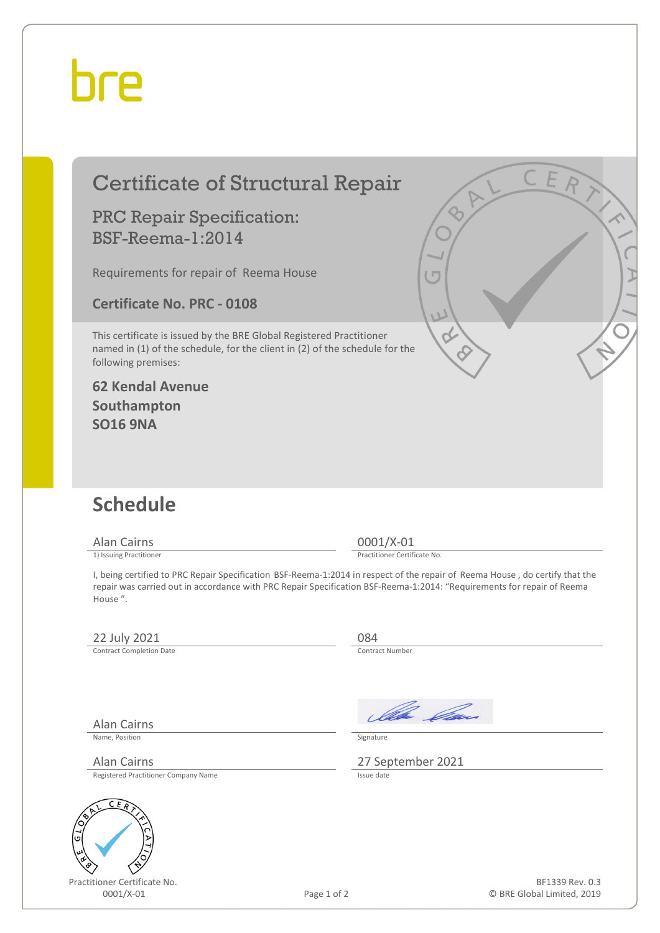# hre

# Certificate of Structural Repair

### PRC Repair Specification: BSF-Reema-1:2014

Requirements for repair of Reema House

**Certificate No. PRC - 0108**

This certificate is issued by the BRE Global Registered Practitioner named in (1) of the schedule, for the client in (2) of the schedule for the following premises:

#### **62 Kendal Avenue Southampton SO16 9NA**

## **Schedule**

Alan Cairns 0001/X-01<br>
1) Issuing Practitioner<br>
1) Issuing Practitioner

Practitioner Certificate No.

I, being certified to PRC Repair Specification BSF-Reema-1:2014 in respect of the repair of Reema House , do certify that the repair was carried out in accordance with PRC Repair Specification BSF-Reema-1:2014: "Requirements for repair of Reema House ".

### $\frac{22 \text{ July } 2021}{\text{Contract Completion Date}}$   $\frac{084}{\text{Contract Number}}$

Contract Completion Date

Ila Ga

Name, Position Signature

Alan Cairns 27 September 2021

Registered Practitioner Company Name

Alan Cairns



Practitioner Certificate No.